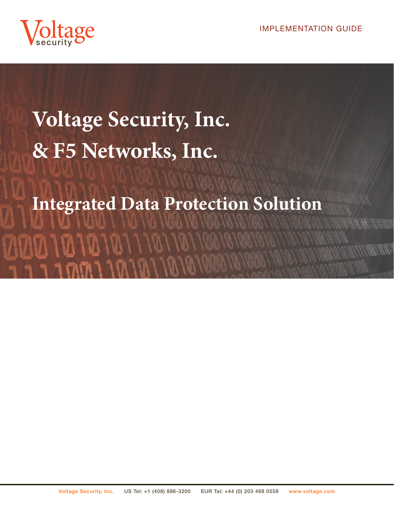

# **Voltage Security, Inc. & F5 Networks, Inc. Integrated Data Protection Solution**

 $M$   $1$   $M$   $1$   $N$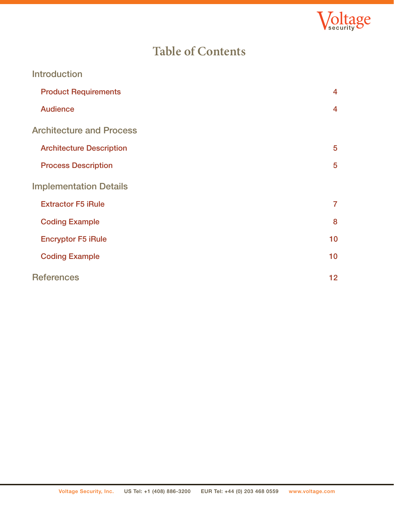

# **Table of Contents**

| <b>Introduction</b>             |                |
|---------------------------------|----------------|
| <b>Product Requirements</b>     | $\overline{4}$ |
| <b>Audience</b>                 | $\overline{4}$ |
| <b>Architecture and Process</b> |                |
| <b>Architecture Description</b> | 5              |
| <b>Process Description</b>      | 5              |
| <b>Implementation Details</b>   |                |
| <b>Extractor F5 iRule</b>       | $\overline{7}$ |
| <b>Coding Example</b>           | 8              |
| <b>Encryptor F5 iRule</b>       | 10             |
| <b>Coding Example</b>           | 10             |
| <b>References</b>               | 12             |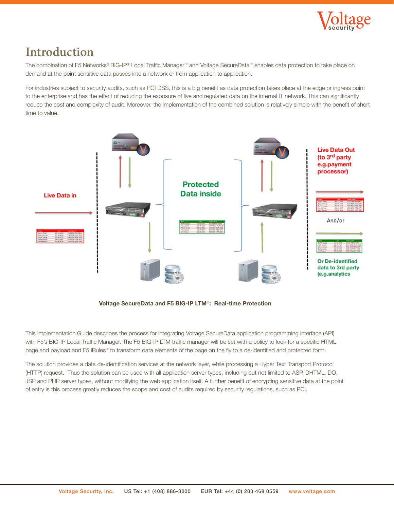

## **Introduction**

The combination of F5 Networks® BIG-IP® Local Traffic Manager™ and Voltage SecureData™ enables data protection to take place on demand at the point sensitive data passes into a network or from application to application.

For industries subject to security audits, such as PCI DSS, this is a big benefit as data protection takes place at the edge or ingress point to the enterprise and has the effect of reducing the exposure of live and regulated data on the internal IT network. This can significantly reduce the cost and complexity of audit. Moreover, the implementation of the combined solution is relatively simple with the benefit of short time to value.



Voltage SecureData and F5 BIG-IP LTM®: Real-time Protection

This Implementation Guide describes the process for integrating Voltage SecureData application programming interface (API) with F5's BIG-IP Local Traffic Manager. The F5 BIG-IP LTM traffic manager will be set with a policy to look for a specific HTML page and payload and F5 iRules® to transform data elements of the page on the fly to a de-identified and protected form.

The solution provides a data de-identification services at the network layer, while processing a Hyper Text Transport Protocol (HTTP) request. Thus the solution can be used with all application server types, including but not limited to ASP, DHTML, DO, JSP and PHP server types, without modifying the web application itself. A further benefit of encrypting sensitive data at the point of entry is this process greatly reduces the scope and cost of audits required by security regulations, such as PCI.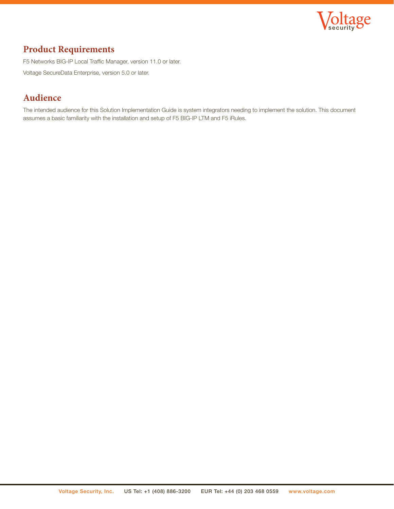

#### **Product Requirements**

F5 Networks BIG-IP Local Traffic Manager, version 11.0 or later. Voltage SecureData Enterprise, version 5.0 or later.

## **Audience**

The intended audience for this Solution Implementation Guide is system integrators needing to implement the solution. This document assumes a basic familiarity with the installation and setup of F5 BIG-IP LTM and F5 iRules.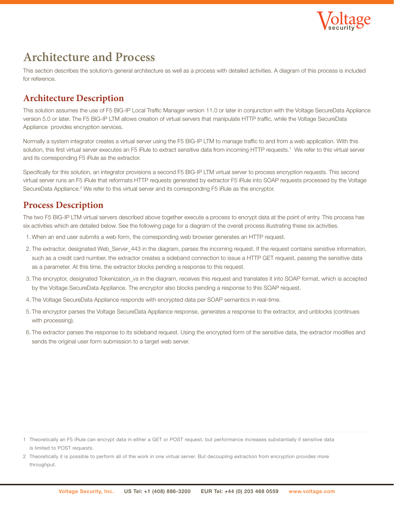

## **Architecture and Process**

This section describes the solution's general architecture as well as a process with detailed activities. A diagram of this process is included for reference.

## **Architecture Description**

This solution assumes the use of F5 BIG-IP Local Traffic Manager version 11.0 or later in conjunction with the Voltage SecureData Appliance version 5.0 or later. The F5 BIG-IP LTM allows creation of virtual servers that manipulate HTTP traffic, while the Voltage SecureData Appliance provides encryption services.

Normally a system integrator creates a virtual server using the F5 BIG-IP LTM to manage traffic to and from a web application. With this solution, this first virtual server executes an F5 iRule to extract sensitive data from incoming HTTP requests.<sup>1</sup> We refer to this virtual server and its corresponding F5 iRule as the extractor.

Specifically for this solution, an integrator provisions a second F5 BIG-IP LTM virtual server to process encryption requests. This second virtual server runs an F5 iRule that reformats HTTP requests generated by extractor F5 iRule into SOAP requests processed by the Voltage SecureData Appliance.<sup>2</sup> We refer to this virtual server and its corresponding F5 iRule as the encryptor.

#### **Process Description**

The two F5 BIG-IP LTM virtual servers described above together execute a process to encrypt data at the point of entry. This process has six activities which are detailed below. See the following page for a diagram of the overall process illustrating these six activities.

- 1. When an end user submits a web form, the corresponding web browser generates an HTTP request.
- 2. The extractor, designated Web\_Server\_443 in the diagram, parses the incoming request. If the request contains sensitive information, such as a credit card number, the extractor creates a sideband connection to issue a HTTP GET request, passing the sensitive data as a parameter. At this time, the extractor blocks pending a response to this request.
- 3. The encryptor, designated Tokenization\_vs in the diagram, receives this request and translates it into SOAP format, which is accepted by the Voltage SecureData Appliance. The encryptor also blocks pending a response to this SOAP request.
- 4. The Voltage SecureData Appliance responds with encrypted data per SOAP semantics in real-time.
- 5. The encryptor parses the Voltage SecureData Appliance response, generates a response to the extractor, and unblocks (continues with processing).
- 6. The extractor parses the response to its sideband request. Using the encrypted form of the sensitive data, the extractor modifies and sends the original user form submission to a target web server.

<sup>1</sup> Theoretically an F5 iRule can encrypt data in either a GET or POST request, but performance increases substantially if sensitive data is limited to POST requests.

<sup>2</sup> Theoretically it is possible to perform all of the work in one virtual server. But decoupling extraction from encryption provides more throughput.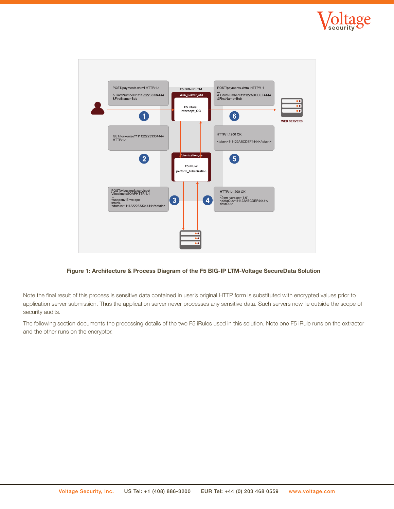



Figure 1: Architecture & Process Diagram of the F5 BIG-IP LTM-Voltage SecureData Solution

Note the final result of this process is sensitive data contained in user's original HTTP form is substituted with encrypted values prior to application server submission. Thus the application server never processes any sensitive data. Such servers now lie outside the scope of security audits.

The following section documents the processing details of the two F5 iRules used in this solution. Note one F5 iRule runs on the extractor and the other runs on the encryptor.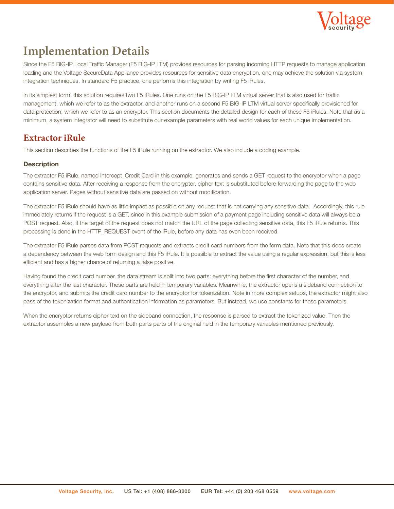

# **Implementation Details**

Since the F5 BIG-IP Local Traffic Manager (F5 BIG-IP LTM) provides resources for parsing incoming HTTP requests to manage application loading and the Voltage SecureData Appliance provides resources for sensitive data encryption, one may achieve the solution via system integration techniques. In standard F5 practice, one performs this integration by writing F5 iRules.

In its simplest form, this solution requires two F5 iRules. One runs on the F5 BIG-IP LTM virtual server that is also used for traffic management, which we refer to as the extractor, and another runs on a second F5 BIG-IP LTM virtual server specifically provisioned for data protection, which we refer to as an encryptor. This section documents the detailed design for each of these F5 iRules. Note that as a minimum, a system integrator will need to substitute our example parameters with real world values for each unique implementation.

#### **Extractor iRule**

This section describes the functions of the F5 iRule running on the extractor. We also include a coding example.

#### **Description**

The extractor F5 iRule, named Intercept\_Credit Card in this example, generates and sends a GET request to the encryptor when a page contains sensitive data. After receiving a response from the encryptor, cipher text is substituted before forwarding the page to the web application server. Pages without sensitive data are passed on without modification.

The extractor F5 iRule should have as little impact as possible on any request that is not carrying any sensitive data. Accordingly, this rule immediately returns if the request is a GET, since in this example submission of a payment page including sensitive data will always be a POST request. Also, if the target of the request does not match the URL of the page collecting sensitive data, this F5 iRule returns. This processing is done in the HTTP\_REQUEST event of the iRule, before any data has even been received.

The extractor F5 iRule parses data from POST requests and extracts credit card numbers from the form data. Note that this does create a dependency between the web form design and this F5 iRule. It is possible to extract the value using a regular expression, but this is less efficient and has a higher chance of returning a false positive.

Having found the credit card number, the data stream is split into two parts: everything before the first character of the number, and everything after the last character. These parts are held in temporary variables. Meanwhile, the extractor opens a sideband connection to the encryptor, and submits the credit card number to the encryptor for tokenization. Note in more complex setups, the extractor might also pass of the tokenization format and authentication information as parameters. But instead, we use constants for these parameters.

When the encryptor returns cipher text on the sideband connection, the response is parsed to extract the tokenized value. Then the extractor assembles a new payload from both parts parts of the original held in the temporary variables mentioned previously.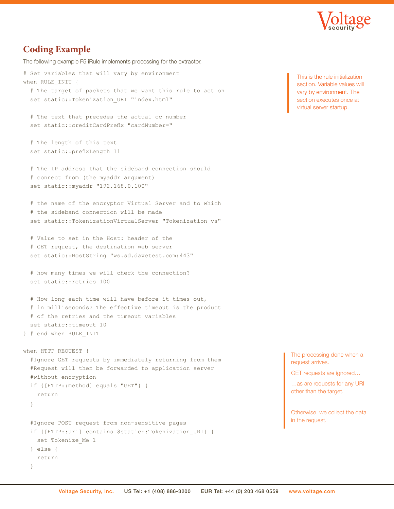

#### **Coding Example**

The following example F5 iRule implements processing for the extractor.

# Set variables that will vary by environment when RULE INIT { # The target of packets that we want this rule to act on set static::Tokenization URI "index.html"

 # The text that precedes the actual cc number set static::creditCardPrefix "cardNumber="

```
 # The length of this text
 set static::prefixLength 11
```
 # The IP address that the sideband connection should # connect from (the myaddr argument) set static::myaddr "192.168.0.100"

 # the name of the encryptor Virtual Server and to which # the sideband connection will be made set static::TokenizationVirtualServer "Tokenization vs"

 # Value to set in the Host: header of the # GET request, the destination web server set static::HostString "ws.sd.davetest.com:443"

```
 # how many times we will check the connection?
 set static::retries 100
```
 # How long each time will have before it times out, # in milliseconds? The effective timeout is the product # of the retries and the timeout variables set static::timeout 10

```
} # end when RULE_INIT
```

```
when HTTP REQUEST {
  #Ignore GET requests by immediately returning from them
   #Request will then be forwarded to application server
   #without encryption
   if {[HTTP::method] equals "GET"} { 
     return 
   }
   #Ignore POST request from non-sensitive pages 
   if {[HTTP::uri] contains $static::Tokenization_URI} {
     set Tokenize_Me 1
   } else {
     return
   }
```
This is the rule initialization section. Variable values will vary by environment. The section executes once at virtual server startup.

The processing done when a request arrives.

GET requests are ignored…

…as are requests for any URI other than the target.

Otherwise, we collect the data in the request.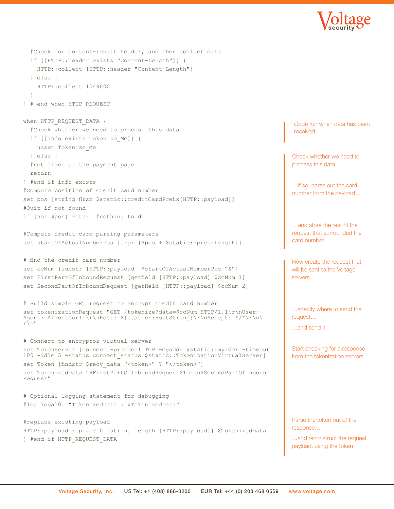

```
 #Check for Content-Length header, and then collect data
   if {[HTTP::header exists "Content-Length"]} {
     HTTP::collect [HTTP::header "Content-Length"]
   } else {
     HTTP::collect 1048000
 }
} # end when HTTP_REQUEST
when HTTP REQUEST DATA {
   #Check whether we need to process this data
   if {[info exists Tokenize_Me]} {
     unset Tokenize_Me
   } else {
   #not aimed at the payment page
   return
} #end if info exists
#Compute position of credit card number
set pos [string first $static::creditCardPrefix[HTTP::payload]]
#Quit if not found
if {not $pos} return #nothing to do
#Compute credit card parsing parameters
set startOfActualNumberPos [expr {$pos + $static::prefixLength}]
# find the credit card number
set ccNum [substr [HTTP::payload] $startOfActualNumberPos "&"]
set FirstPartOfInboundRequest [getfield [HTTP::payload] $ccNum 1]
set SecondPartOfInboundRequest [getfield [HTTP::payload] $ccNum 2]
# Build simple GET request to encrypt credit card number
set tokenizationRequest "GET /tokenize?data=$ccNum HTTP/1.1\r\nUser-
Agent: AlmostCurl!\r\nHost: ${static::HostString}\r\nAccept: */*\r\n\
r\n"
# Connect to encryptor virtual server
set TokenServer [connect -protocol TCP -myaddr $static::myaddr -timeout
100 -idle 5 -status connect_status $static::TokenizationVirtualServer]
set Token [findstr $recv_data "<token>" 7 "</token>"]
set TokenizedData "$FirstPartOfInboundRequest$Token$SecondPartOfInbound
Request"
# Optional logging statement for debugging
#log local0. "TokenizedData : $TokenizedData"
#replace existing payload
HTTP::payload replace 0 [string length [HTTP::payload]] $TokenizedData
} #end if HTTP_REQUEST_DATA
                                                                                     Code run when data has been 
                                                                                     received.
                                                                                    Now create the request that 
                                                                                    will be sent to the Voltage 
                                                                                    servers…
                                                                                    …specify where to send the 
                                                                                    request…
                                                                                    …and send it.
                                                                                    Start checking for a response 
                                                                                    from the tokenization servers.
                                                                                    Parse the token out of the 
                                                                                    response…
                                                                                    …and reconstruct the request 
                                                                                    payload, using the token
                                                                                    Check whether we need to 
                                                                                    process this data…
                                                                                    …if so, parse out the card 
                                                                                    number from the payload…
                                                                                     …and store the rest of the 
                                                                                    request that surrounded the 
                                                                                    card number.
```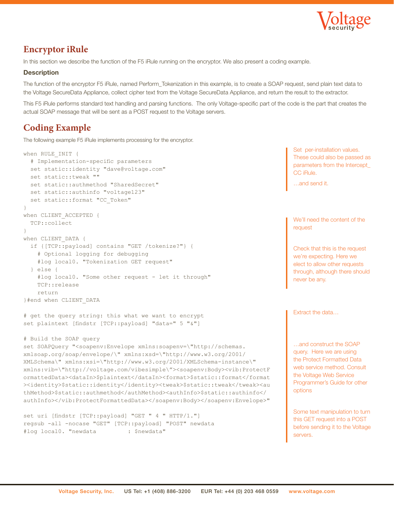

#### **Encryptor iRule**

In this section we describe the function of the F5 iRule running on the encryptor. We also present a coding example.

#### **Description**

The function of the encryptor F5 iRule, named Perform\_Tokenization in this example, is to create a SOAP request, send plain text data to the Voltage SecureData Appliance, collect cipher text from the Voltage SecureData Appliance, and return the result to the extractor.

This F5 iRule performs standard text handling and parsing functions. The only Voltage-specific part of the code is the part that creates the actual SOAP message that will be sent as a POST request to the Voltage servers.

## **Coding Example**

The following example F5 iRule implements processing for the encryptor.

```
when RULE INIT {
   # Implementation-specific parameters
   set static::identity "dave@voltage.com"
   set static::tweak ""
   set static::authmethod "SharedSecret"
   set static::authinfo "voltage123"
   set static::format "CC_Token"
} 
when CLIENT ACCEPTED {
   TCP::collect
}
when CLIENT DATA {
   if {[TCP::payload] contains "GET /tokenize?"} {
     # Optional logging for debugging
     #log local0. "Tokenization GET request" 
   } else {
    #log local0. "Some other request - let it through"
     TCP::release
     return
}#end when CLIENT_DATA
# get the query string: this what we want to encrypt
set plaintext [findstr [TCP::payload] "data=" 5 "&"]
# Build the SOAP query
set SOAPQuery "<soapenv:Envelope xmlns:soapenv=\"http://schemas.
xmlsoap.org/soap/envelope/\" xmlns:xsd=\"http://www.w3.org/2001/
XMLSchema\" xmlns:xsi=\"http://www.w3.org/2001/XMLSchema-instance\" 
xmlns:vib=\"http://voltage.com/vibesimple\"><soapenv:Body><vib:ProtectF
ormattedData><dataIn>$plaintext</dataIn><format>$static::format</format
><identity>$static::identity</identity><tweak>$static::tweak</tweak><au
thMethod>$static::authmethod</authMethod><authInfo>$static::authinfo</
authInfo></vib:ProtectFormattedData></soapenv:Body></soapenv:Envelope>"
set uri [findstr [TCP::payload] "GET " 4 " HTTP/1."]
regsub -all -nocase "GET" [TCP::payload] "POST" newdata
#log local0. "newdata : $newdata"
                                                                                      Set per-installation values. 
                                                                                       These could also be passed as 
                                                                                      parameters from the Intercept_
                                                                                      CC iRule.
                                                                                       …and send it.
                                                                                      Extract the data…
                                                                                      …and construct the SOAP 
                                                                                      query. Here we are using 
                                                                                      the Protect Formatted Data 
                                                                                      web service method. Consult 
                                                                                      the Voltage Web Service 
                                                                                      Programmer's Guide for other 
                                                                                      options
                                                                                      Some text manipulation to turn 
                                                                                      this GET request into a POST 
                                                                                      before sending it to the Voltage 
                                                                                      servers.
                                                                                      We'll need the content of the 
                                                                                      request
                                                                                      Check that this is the request 
                                                                                      we're expecting. Here we 
                                                                                      elect to allow other requests 
                                                                                      through, although there should 
                                                                                      never be any.
```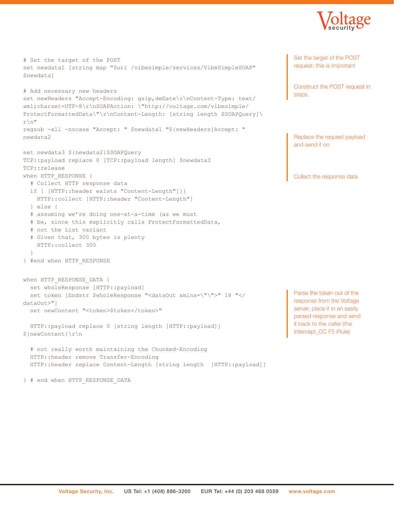

```
# Set the target of the POST
set newdata1 [string map "$uri /vibesimple/services/VibeSimpleSOAP"
$newdata]
# Add necessary new headers
set newHeaders "Accept-Encoding: gzip,deflate\r\nContent-Type: text/
xml;charset=UTF-8\r\nSOAPAction: \"http://voltage.com/vibesimple/
ProtectFormattedData\"\r\nContent-Length: [string length $SOAPQuery]\
r\n"
regsub -all -nocase "Accept: " $newdata1 "${newHeaders}Accept: " 
newdata2
set newdata3 ${newdata2}$SOAPQuery
TCP::payload replace 0 [TCP::payload length] $newdata3
TCP::release
when HTTP RESPONSE {
   # Collect HTTP response data
   if { [HTTP::header exists "Content-Length"]}{
    HTTP::collect [HTTP::header "Content-Length"]
   } else {
   # assuming we're doing one-at-a-time (as we must
   # be, since this explicitly calls ProtectFormattedData,
   # not the List variant
   # Given that, 300 bytes is plenty
    HTTP::collect 300
 }
} #end when HTTP_RESPONSE
when HTTP RESPONSE DATA {
  set wholeResponse [HTTP::payload]
   set token [findstr $wholeResponse "<dataOut xmlns=\"\">" 18 "</
dataOut>"]
  set newContent "<token>$token</token>"
   HTTP::payload replace 0 [string length [HTTP::payload]] 
${newContent}\r\n
   # not really worth maintaining the Chunked-Encoding
   HTTP::header remove Transfer-Encoding
   HTTP::header replace Content-Length [string length [HTTP::payload]]
} # end when HTTP_RESPONSE_DATA
                                                                                  Set the target of the POST 
                                                                                  request: this is important
                                                                                  Construct the POST request in 
                                                                                  steps.
```
Replace the request payload and send it on

Collect the response data

Parse the token out of the response from the Voltage server, place it in an easily parsed response and send it back to the caller (the Intercept\_CC F5 iRule)